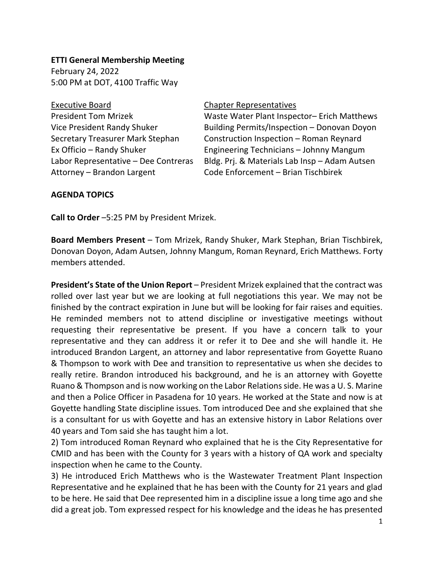## **ETTI General Membership Meeting**

February 24, 2022 5:00 PM at DOT, 4100 Traffic Way

Executive Board **Chapter Representatives** Attorney – Brandon Largent Code Enforcement – Brian Tischbirek

President Tom Mrizek Waste Water Plant Inspector– Erich Matthews Vice President Randy Shuker Building Permits/Inspection – Donovan Doyon Secretary Treasurer Mark Stephan Construction Inspection – Roman Reynard Ex Officio – Randy Shuker Engineering Technicians – Johnny Mangum Labor Representative – Dee Contreras Bldg. Prj. & Materials Lab Insp – Adam Autsen

## **AGENDA TOPICS**

**Call to Order** –5:25 PM by President Mrizek.

**Board Members Present** – Tom Mrizek, Randy Shuker, Mark Stephan, Brian Tischbirek, Donovan Doyon, Adam Autsen, Johnny Mangum, Roman Reynard, Erich Matthews. Forty members attended.

**President's State of the Union Report** – President Mrizek explained that the contract was rolled over last year but we are looking at full negotiations this year. We may not be finished by the contract expiration in June but will be looking for fair raises and equities. He reminded members not to attend discipline or investigative meetings without requesting their representative be present. If you have a concern talk to your representative and they can address it or refer it to Dee and she will handle it. He introduced Brandon Largent, an attorney and labor representative from Goyette Ruano & Thompson to work with Dee and transition to representative us when she decides to really retire. Brandon introduced his background, and he is an attorney with Goyette Ruano & Thompson and is now working on the Labor Relations side. He was a U. S. Marine and then a Police Officer in Pasadena for 10 years. He worked at the State and now is at Goyette handling State discipline issues. Tom introduced Dee and she explained that she is a consultant for us with Goyette and has an extensive history in Labor Relations over 40 years and Tom said she has taught him a lot.

2) Tom introduced Roman Reynard who explained that he is the City Representative for CMID and has been with the County for 3 years with a history of QA work and specialty inspection when he came to the County.

3) He introduced Erich Matthews who is the Wastewater Treatment Plant Inspection Representative and he explained that he has been with the County for 21 years and glad to be here. He said that Dee represented him in a discipline issue a long time ago and she did a great job. Tom expressed respect for his knowledge and the ideas he has presented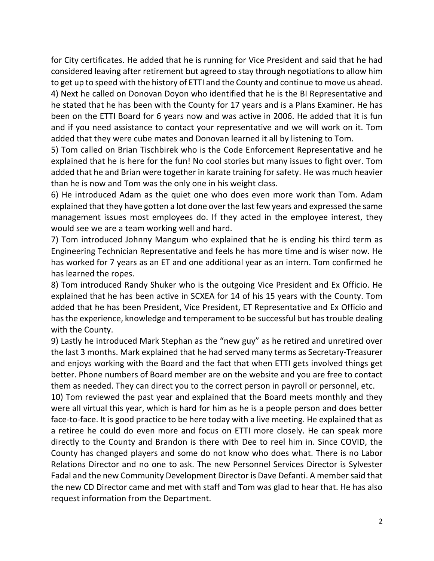for City certificates. He added that he is running for Vice President and said that he had considered leaving after retirement but agreed to stay through negotiations to allow him to get up to speed with the history of ETTI and the County and continue to move us ahead. 4) Next he called on Donovan Doyon who identified that he is the BI Representative and he stated that he has been with the County for 17 years and is a Plans Examiner. He has been on the ETTI Board for 6 years now and was active in 2006. He added that it is fun and if you need assistance to contact your representative and we will work on it. Tom added that they were cube mates and Donovan learned it all by listening to Tom.

5) Tom called on Brian Tischbirek who is the Code Enforcement Representative and he explained that he is here for the fun! No cool stories but many issues to fight over. Tom added that he and Brian were together in karate training for safety. He was much heavier than he is now and Tom was the only one in his weight class.

6) He introduced Adam as the quiet one who does even more work than Tom. Adam explained that they have gotten a lot done over the last few years and expressed the same management issues most employees do. If they acted in the employee interest, they would see we are a team working well and hard.

7) Tom introduced Johnny Mangum who explained that he is ending his third term as Engineering Technician Representative and feels he has more time and is wiser now. He has worked for 7 years as an ET and one additional year as an intern. Tom confirmed he has learned the ropes.

8) Tom introduced Randy Shuker who is the outgoing Vice President and Ex Officio. He explained that he has been active in SCXEA for 14 of his 15 years with the County. Tom added that he has been President, Vice President, ET Representative and Ex Officio and has the experience, knowledge and temperament to be successful but has trouble dealing with the County.

9) Lastly he introduced Mark Stephan as the "new guy" as he retired and unretired over the last 3 months. Mark explained that he had served many terms as Secretary-Treasurer and enjoys working with the Board and the fact that when ETTI gets involved things get better. Phone numbers of Board member are on the website and you are free to contact them as needed. They can direct you to the correct person in payroll or personnel, etc.

10) Tom reviewed the past year and explained that the Board meets monthly and they were all virtual this year, which is hard for him as he is a people person and does better face-to-face. It is good practice to be here today with a live meeting. He explained that as a retiree he could do even more and focus on ETTI more closely. He can speak more directly to the County and Brandon is there with Dee to reel him in. Since COVID, the County has changed players and some do not know who does what. There is no Labor Relations Director and no one to ask. The new Personnel Services Director is Sylvester Fadal and the new Community Development Director is Dave Defanti. A member said that the new CD Director came and met with staff and Tom was glad to hear that. He has also request information from the Department.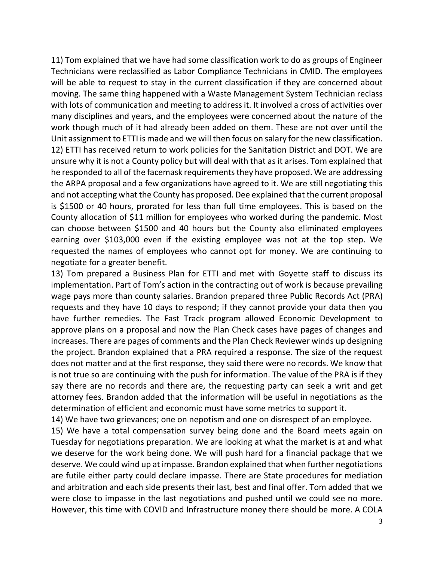11) Tom explained that we have had some classification work to do as groups of Engineer Technicians were reclassified as Labor Compliance Technicians in CMID. The employees will be able to request to stay in the current classification if they are concerned about moving. The same thing happened with a Waste Management System Technician reclass with lots of communication and meeting to address it. It involved a cross of activities over many disciplines and years, and the employees were concerned about the nature of the work though much of it had already been added on them. These are not over until the Unit assignment to ETTI is made and we will then focus on salary for the new classification. 12) ETTI has received return to work policies for the Sanitation District and DOT. We are unsure why it is not a County policy but will deal with that as it arises. Tom explained that he responded to all of the facemask requirements they have proposed. We are addressing the ARPA proposal and a few organizations have agreed to it. We are still negotiating this and not accepting what the County has proposed. Dee explained that the current proposal is \$1500 or 40 hours, prorated for less than full time employees. This is based on the County allocation of \$11 million for employees who worked during the pandemic. Most can choose between \$1500 and 40 hours but the County also eliminated employees earning over \$103,000 even if the existing employee was not at the top step. We requested the names of employees who cannot opt for money. We are continuing to negotiate for a greater benefit.

13) Tom prepared a Business Plan for ETTI and met with Goyette staff to discuss its implementation. Part of Tom's action in the contracting out of work is because prevailing wage pays more than county salaries. Brandon prepared three Public Records Act (PRA) requests and they have 10 days to respond; if they cannot provide your data then you have further remedies. The Fast Track program allowed Economic Development to approve plans on a proposal and now the Plan Check cases have pages of changes and increases. There are pages of comments and the Plan Check Reviewer winds up designing the project. Brandon explained that a PRA required a response. The size of the request does not matter and at the first response, they said there were no records. We know that is not true so are continuing with the push for information. The value of the PRA is if they say there are no records and there are, the requesting party can seek a writ and get attorney fees. Brandon added that the information will be useful in negotiations as the determination of efficient and economic must have some metrics to support it.

14) We have two grievances; one on nepotism and one on disrespect of an employee.

15) We have a total compensation survey being done and the Board meets again on Tuesday for negotiations preparation. We are looking at what the market is at and what we deserve for the work being done. We will push hard for a financial package that we deserve. We could wind up at impasse. Brandon explained that when further negotiations are futile either party could declare impasse. There are State procedures for mediation and arbitration and each side presents their last, best and final offer. Tom added that we were close to impasse in the last negotiations and pushed until we could see no more. However, this time with COVID and Infrastructure money there should be more. A COLA